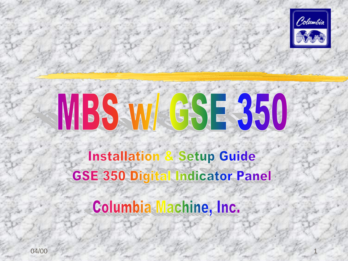

# MBS W GSE 350

**Installation & Setup Guide GSE 350 Digital Indicator Panel** 

Columbia Machine, Inc.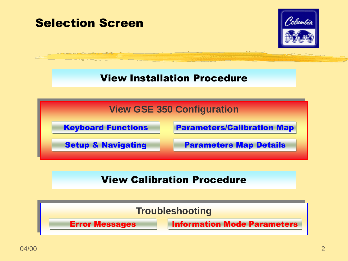<span id="page-1-0"></span>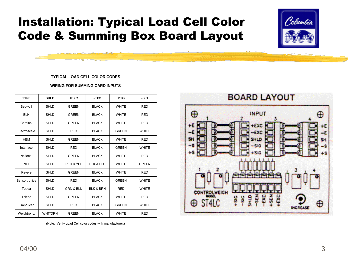# Installation: Typical Load Cell Color Code & Summing Box Board Layout



#### **TYPICAL LOAD CELL COLOR CODES**

**WIRING FOR SUMMING CARD INPUTS**

| <b>TYPE</b>   | <b>SHLD</b>    | $+$ EXC              | -EXC                 | $+SIG$       | -SIG         |
|---------------|----------------|----------------------|----------------------|--------------|--------------|
| Beowulf       | <b>SHLD</b>    | <b>GREEN</b>         | <b>BLACK</b>         | <b>WHITE</b> | <b>RED</b>   |
| <b>BLH</b>    | SHLD           | GREEN                | <b>BLACK</b>         | <b>WHITE</b> | <b>RED</b>   |
| Cardinal      | SHLD           | GREEN                | <b>BLACK</b>         | <b>WHITE</b> | <b>RED</b>   |
| Electroscale  | SHLD           | <b>RED</b>           | <b>BLACK</b>         | GREEN        | <b>WHITE</b> |
| <b>HBM</b>    | SHLD           | <b>GREEN</b>         | <b>BLACK</b>         | <b>WHITE</b> | <b>RED</b>   |
| Interface     | SHLD           | <b>RED</b>           | <b>BLACK</b>         | GREEN        | <b>WHITE</b> |
| National      | SHLD           | GREEN                | <b>BLACK</b>         | <b>WHITE</b> | <b>RED</b>   |
| <b>NCI</b>    | SHLD           | <b>RED &amp; YEL</b> | <b>BLK &amp; BLU</b> | <b>WHITE</b> | <b>GREEN</b> |
| Revere        | SHLD           | <b>GREEN</b>         | <b>BLACK</b>         | <b>WHITE</b> | <b>RED</b>   |
| Sensortronics | SHLD           | <b>RED</b>           | <b>BLACK</b>         | <b>GREEN</b> | <b>WHITE</b> |
| Tedea         | <b>SHLD</b>    | <b>GRN &amp; BLU</b> | <b>BLK &amp; BRN</b> | <b>RED</b>   | <b>WHITE</b> |
| Toledo        | SHLD           | <b>GREEN</b>         | <b>BLACK</b>         | <b>WHITE</b> | <b>RED</b>   |
| Tranducer     | SHLD           | <b>RED</b>           | <b>BLACK</b>         | <b>GREEN</b> | <b>WHITE</b> |
| Weightronix   | <b>WHT/ORN</b> | <b>GREEN</b>         | <b>BLACK</b>         | <b>WHITE</b> | <b>RED</b>   |

<span id="page-2-0"></span>(Note: Verify Load Cell color codes with manufacturer.)

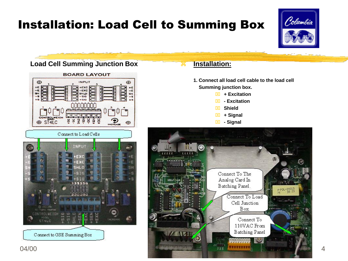# Installation: Load Cell to Summing Box



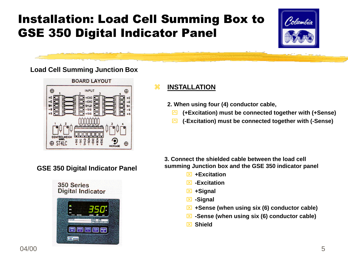# Installation: Load Cell Summing Box to GSE 350 Digital Indicator Panel



### **Load Cell Summing Junction Box**



### **INSTALLATION**

- **2. When using four (4) conductor cable,** 
	- **(+Excitation) must be connected together with (+Sense)**
	- **(-Excitation) must be connected together with (-Sense)**

**GSE 350 Digital Indicator Panel**



**3. Connect the shielded cable between the load cell summing Junction box and the GSE 350 indicator panel**

- **+Excitation**
- **-Excitation**
- **+Signal**
- **-Signal**
- **+Sense (when using six (6) conductor cable)**
- **-Sense (when using six (6) conductor cable)**
- **Shield**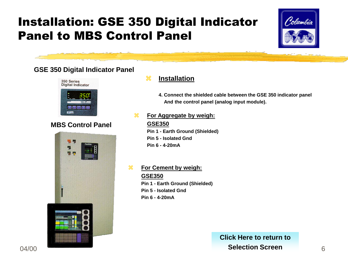# Installation: GSE 350 Digital Indicator Panel to MBS Control Panel



### **GSE 350 Digital Indicator Panel**



### **MBS Control Panel**



### **Installation**

**4. Connect the shielded cable between the GSE 350 indicator panel And the control panel (analog input module).**

 **For Aggregate by weigh: GSE350**

> **Pin 1 - Earth Ground (Shielded) Pin 5 - Isolated Gnd Pin 6 - 4-20mA**

 **For Cement by weigh: GSE350 Pin 1 - Earth Ground (Shielded) Pin 5 - Isolated Gnd Pin 6 - 4-20mA**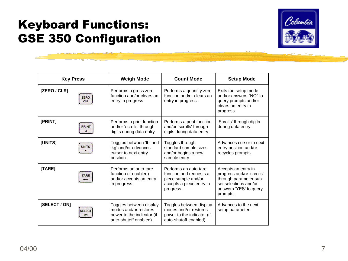## Keyboard Functions: GSE 350 Configuration



<span id="page-6-0"></span>

| <b>Key Press</b> |                           | <b>Weigh Mode</b>                                                                                        | <b>Count Mode</b>                                                                                                | <b>Setup Mode</b>                                                                                                                         |
|------------------|---------------------------|----------------------------------------------------------------------------------------------------------|------------------------------------------------------------------------------------------------------------------|-------------------------------------------------------------------------------------------------------------------------------------------|
| [ZERO / CLR]     | <b>ZERO</b><br><b>CLR</b> | Performs a gross zero<br>function and/or clears an<br>entry in progress.                                 | Performs a quantity zero<br>function and/or clears an<br>entry in progress.                                      | Exits the setup mode<br>and/or answers "NO" to<br>query prompts and/or<br>clears an entry in<br>progress.                                 |
| [PRINT]          | <b>PRINT</b>              | Performs a print function<br>and/or 'scrolls' through<br>digits during data entry.                       | Performs a print function<br>and/or 'scrolls' through<br>digits during data entry.                               | 'Scrolls' through digits<br>during data entry.                                                                                            |
| [UNITS]          | <b>UNITS</b>              | Toggles between 'lb' and<br>'kg' and/or advances<br>cursor to next entry<br>position.                    | Toggles through<br>standard sample sizes<br>and/or begins a new<br>sample entry.                                 | Advances cursor to next<br>entry position and/or<br>recycles prompts.                                                                     |
| [TARE]           | <b>TARE</b>               | Performs an auto-tare<br>function (if enabled)<br>and/or accepts an entry<br>in progress.                | Performs an auto-tare<br>function and requests a<br>piece sample and/or<br>accepts a piece entry in<br>progress. | Accepts an entry in<br>progress and/or 'scrolls'<br>through parameter sub-<br>set selections and/or<br>answers 'YES' to query<br>prompts. |
| [SELECT / ON]    | <b>SELECT</b><br>ON       | Toggles between display<br>modes and/or restores<br>power to the indicator (if<br>auto-shutoff enabled). | Toggles between display<br>modes and/or restores<br>power to the indicator (if<br>auto-shutoff enabled).         | Advances to the next<br>setup parameter.                                                                                                  |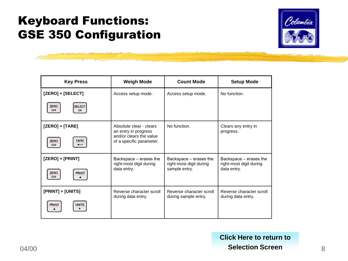# Keyboard Functions: GSE 350 Configuration



| <b>Key Press</b>                                 | <b>Weigh Mode</b>                                   | <b>Count Mode</b>                                 | <b>Setup Mode</b>                                 |
|--------------------------------------------------|-----------------------------------------------------|---------------------------------------------------|---------------------------------------------------|
| [ZERO] + [SELECT]                                | Access setup mode.                                  | Access setup mode.                                | No function.                                      |
| <b>ZERO</b><br><b>SELECT</b><br><b>CLR</b><br>ON |                                                     |                                                   |                                                   |
| [ZERO] + [TARE]                                  | Absolute clear - clears<br>an entry in progress     | No function.                                      | Clears any entry in<br>progress.                  |
| <b>TARE</b><br><b>ZERO</b><br><b>CLR</b>         | and/or clears the value<br>of a specific parameter. |                                                   |                                                   |
| [ZERO] + [PRINT]                                 | Backspace - erases the<br>right-most digit during   | Backspace - erases the<br>right-most digit during | Backspace - erases the<br>right-most digit during |
| <b>ZERO</b><br><b>PRINT</b><br><b>CLR</b>        | data entry.                                         | sample entry.                                     | data entry.                                       |
| [PRINT] + [UNITS]                                | Reverse character scroll<br>during data entry.      | Reverse character scroll<br>during sample entry.  | Reverse character scroll<br>during data entry.    |
| <b>PRINT</b><br><b>UNITS</b>                     |                                                     |                                                   |                                                   |

04/00 8 **Selection Screen[Click Here to return to](#page-1-0)**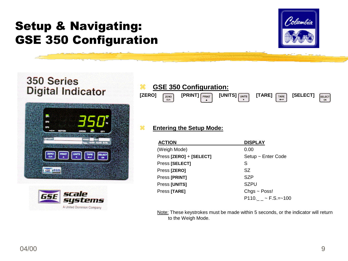

### 350 Series **Digital Indicator**



<span id="page-8-0"></span>

### **GSE 350 Configuration:**



### **Entering the Setup Mode:**

| <b>ACTION</b>           | <b>DISPLAY</b>                   |
|-------------------------|----------------------------------|
| (Weigh Mode)            | 0.00                             |
| Press [ZERO] + [SELECT] | Setup ~ Enter Code               |
| Press [SELECT]          | S                                |
| Press [ZERO]            | SZ                               |
| Press [PRINT]           | SZP                              |
| Press [UNITS]           | SZPU                             |
| Press [TARE]            | $Chgs \sim Poss!$                |
|                         | $P110.$ $ \sim$ F.S.= $\sim$ 100 |

Note: These keystrokes must be made within 5 seconds, or the indicator will return to the Weigh Mode.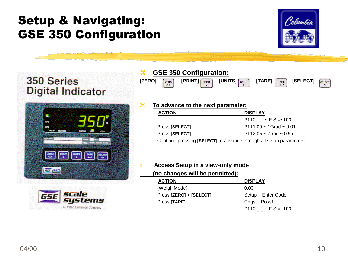

SELECT ON

### 350 Series **Digital Indicator**





### **GSE 350 Configuration:**

| [ZERO] | ZERO<br><b>CLR</b> | $[PRINT]$ $\sqrt{PRINT}$ | $[UNITS]$ $\sqrt{UNITS}$ | <b>ITARE1</b> | TARE | <b>SELECTI</b> |
|--------|--------------------|--------------------------|--------------------------|---------------|------|----------------|
|        |                    |                          |                          |               |      |                |

### **R** To advance to the next parameter:  **ACTION DISPLAY** P110.  $\sim$  F.S.= $\sim$ 100

Press **[SELECT]** P111.09 ~ 1Grad ~ 0.01 Press **[SELECT]** P112.05 ~ Ztrac ~ 0.5 d

Continue pressing **[SELECT]** to advance through all setup parameters.

### **Access Setup in a view-only mode (no changes will be permitted):**

| <b>ACTION</b>           | <b>DISPLAY</b>           |
|-------------------------|--------------------------|
| (Weigh Mode)            | 0.00                     |
| Press [ZERO] + [SELECT] | Setup ~ Enter Code       |
| Press [TARE]            | $Chgs \sim Poss!$        |
|                         | $P110. \sim F.S. = -100$ |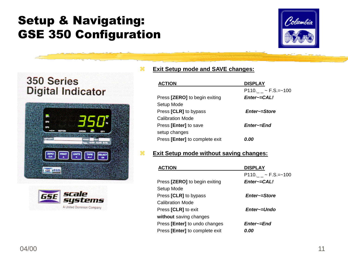





### **Exit Setup mode and SAVE changes:**

| <b>ACTION</b>                  | <b>DISPLAY</b>           |
|--------------------------------|--------------------------|
|                                | $P110. \sim F.S. = -100$ |
| Press [ZERO] to begin exiting  | Enter~=CAL!              |
| Setup Mode                     |                          |
| Press [CLR] to bypass          | Enter~=Store             |
| Calibration Mode               |                          |
| Press [Enter] to save          | Enter~=End               |
| setup changes                  |                          |
| Press [Enter] to complete exit | 0.OO                     |

### **Exit Setup mode without saving changes:**

| <b>DISPLAY</b>                      |
|-------------------------------------|
| $P110. \quad \sim$ F.S.= $\sim$ 100 |
| Enter~=CAL!                         |
|                                     |
| Enter~=Store                        |
|                                     |
| Enter~=Undo                         |
|                                     |
| Enter~=End                          |
| 0.00                                |
|                                     |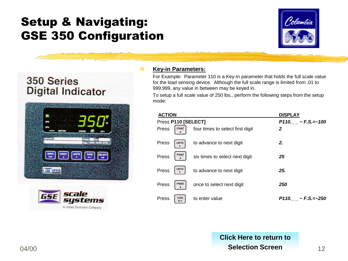

### 350 Series **Digital Indicator**





### **Key-in Parameters:**

For Example: Parameter 110 is a Key-In parameter that holds the full scale value for the load sensing device. Although the full scale range is limited from .01 to 999,999, any value in between may be keyed in.

To setup a full scale value of 250 lbs., perform the following steps from the setup mode:

| <b>ACTION</b>         |                                  | <b>DISPLAY</b>                     |
|-----------------------|----------------------------------|------------------------------------|
| Press P110 [SELECT]   |                                  | $P110. \quad \sim F.S. = \sim 100$ |
| Press<br><b>PRINT</b> | four times to select first digit | 2                                  |
| Press<br><b>UNITS</b> | to advance to next digit         | 2.                                 |
| <b>PRINT</b><br>Press | six times to select next digit   | 25                                 |
| <b>UNITS</b><br>Press | to advance to next digit         | 25.                                |
| <b>PRINT</b><br>Press | once to select next digit        | 250                                |
| <b>TARE</b><br>Press  | to enter value                   | $P110. \quad -F.S. = -250$         |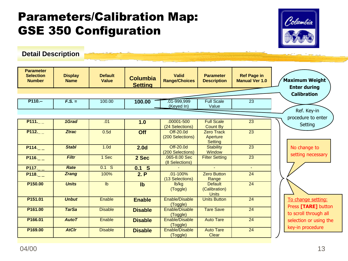# Parameters/Calibration Map: GSE 350 Configuration



**[Detail Description](#page-15-0)**

<span id="page-12-0"></span>

| <b>Parameter</b><br><b>Selection</b><br><b>Number</b> | <b>Display</b><br><b>Name</b> | <b>Default</b><br><b>Value</b> | <b>Columbia</b><br><b>Setting</b> | <b>Valid</b><br><b>Range/Choices</b> | <b>Parameter</b><br><b>Description</b>          | <b>Ref Page in</b><br><b>Manual Ver 1.0</b> | Maximum Weight<br><b>Enter during</b>     |
|-------------------------------------------------------|-------------------------------|--------------------------------|-----------------------------------|--------------------------------------|-------------------------------------------------|---------------------------------------------|-------------------------------------------|
|                                                       |                               |                                |                                   |                                      |                                                 |                                             | <b>Calibration</b>                        |
|                                                       |                               |                                |                                   |                                      |                                                 |                                             |                                           |
| $P110 -$                                              | $F.S. =$                      | 100.00                         | 100.00                            | 01-999,999                           | <b>Full Scale</b>                               | 23                                          |                                           |
|                                                       |                               |                                |                                   | (Keyed In)                           | Value                                           |                                             | Ref. Key-in                               |
|                                                       |                               |                                |                                   |                                      |                                                 |                                             | procedure to enter                        |
| P111.                                                 | 1Grad                         | .01                            | 1.0                               | $.00001 - 500$                       | <b>Full Scale</b>                               | $\overline{23}$                             |                                           |
|                                                       |                               |                                |                                   | (24 Selections)                      | <b>Count By</b>                                 |                                             | Setting                                   |
| P112.                                                 | <b>Ztrac</b>                  | 0.5d                           | Off                               | Off-20.0d                            | <b>Zero Track</b>                               | $\overline{23}$                             |                                           |
|                                                       |                               |                                |                                   | (200 Selections)                     | Aperture<br><b>Setting</b>                      |                                             |                                           |
| P114.                                                 | <b>Stabl</b>                  | 1.0 <sub>d</sub>               | 2.0 <sub>d</sub>                  | Off-20.0d                            | <b>Stability</b>                                | 23                                          | No change to                              |
|                                                       |                               |                                |                                   | (200 Selections)                     | Window                                          |                                             | setting necessary                         |
| P116.                                                 | <b>Filtr</b>                  | 1 Sec                          | 2 Sec                             | .065-8.00 Sec<br>(8 Selections)      | <b>Filter Setting</b>                           | $\overline{23}$                             |                                           |
| P117.                                                 | Rate                          | $0.1$ S                        | $0.1$ S                           |                                      | $\sim$                                          | $\blacksquare$                              |                                           |
| P118.                                                 | <b>Zrang</b>                  | 100%                           | 2. P                              | $.01 - 100%$<br>(13 Selections)      | <b>Zero Button</b><br>Range                     | 24                                          |                                           |
| P150.00                                               | <b>Units</b>                  | I <sub>b</sub>                 | Ib                                | lb/kg<br>(Toggle)                    | <b>Default</b><br>(Calibration)<br><b>Units</b> | 24                                          |                                           |
| P151.01                                               | <b>Unbut</b>                  | Enable                         | <b>Enable</b>                     | Enable/Disable<br>(Toggle)           | <b>Units Button</b>                             | 24                                          | To change setting:<br>Press [TARE] button |
| P161.00                                               | <b>TarSa</b>                  | <b>Disable</b>                 | <b>Disable</b>                    | Enable/Disable<br>(Toggle)           | <b>Tare Save</b>                                | 24                                          | to scroll through all                     |
| P166.01                                               | <b>AutoT</b>                  | Enable                         | <b>Disable</b>                    | Enable/Disable<br>(Toggle)           | <b>Auto Tare</b>                                | 24                                          | selection or using the                    |
| P169.00                                               | <b>AtClr</b>                  | <b>Disable</b>                 | <b>Disable</b>                    | Enable/Disable<br>(Toggle)           | <b>Auto Tare</b><br><b>Clear</b>                | 24                                          | key-in procedure                          |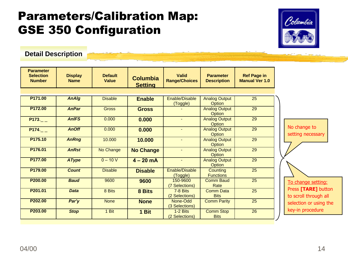## Parameters/Calibration Map: GSE 350 Configuration



**[Detail Description](#page-15-0)**

| <b>Parameter</b><br><b>Selection</b><br><b>Number</b> | <b>Display</b><br><b>Name</b> | <b>Default</b><br><b>Value</b> | <b>Columbia</b><br><b>Setting</b> | <b>Valid</b><br><b>Range/Choices</b> | <b>Parameter</b><br><b>Description</b> | <b>Ref Page in</b><br><b>Manual Ver 1.0</b> |                                              |
|-------------------------------------------------------|-------------------------------|--------------------------------|-----------------------------------|--------------------------------------|----------------------------------------|---------------------------------------------|----------------------------------------------|
|                                                       |                               |                                |                                   |                                      |                                        |                                             |                                              |
| P171.00                                               | <b>AnAlg</b>                  | <b>Disable</b>                 | <b>Enable</b>                     | Enable/Disable<br>(Toggle)           | <b>Analog Output</b><br>Option         | 25                                          |                                              |
| P172.00                                               | <b>AnPar</b>                  | <b>Gross</b>                   | <b>Gross</b>                      |                                      | <b>Analog Output</b><br>Option         | $\overline{29}$                             |                                              |
| P173.                                                 | <b>AnIFS</b>                  | 0.000                          | 0.000                             | $\sim$                               | <b>Analog Output</b><br>Option         | $\overline{29}$                             |                                              |
| P174.                                                 | <b>AnOff</b>                  | 0.000                          | 0.000                             | $\sim$                               | <b>Analog Output</b><br>Option         | 29                                          | No change to<br>setting necessary            |
| P175.10                                               | <b>AnRng</b>                  | 10.000                         | 10.000                            | $\blacksquare$                       | <b>Analog Output</b><br>Option         | 29                                          |                                              |
| P176.01                                               | <b>AnRst</b>                  | No Change                      | <b>No Change</b>                  |                                      | <b>Analog Output</b><br>Option         | 29                                          |                                              |
| P177.00                                               | <b>AType</b>                  | $0 - 10 V$                     | $4 - 20$ mA                       | $\sim$                               | <b>Analog Output</b><br>Option         | 29                                          |                                              |
| P <sub>179.00</sub>                                   | <b>Count</b>                  | <b>Disable</b>                 | <b>Disable</b>                    | Enable/Disable<br>(Toggle)           | Counting<br><b>Functions</b>           | $\overline{25}$                             |                                              |
| P200.00                                               | <b>Baud</b>                   | 9600                           | 9600                              | 150-9600<br>(7 Selections)           | <b>Comm Baud</b><br>Rate               | 25                                          | To change setting:                           |
| P201.01                                               | <b>Data</b>                   | 8 Bits                         | 8 Bits                            | 7-8 Bits<br>(2 Selections)           | <b>Comm Data</b><br><b>Bits</b>        | 25                                          | Press [TARE] button<br>to scroll through all |
| P202.00                                               | Par'y                         | <b>None</b>                    | <b>None</b>                       | None-Odd<br>(3 Selections)           | <b>Comm Parity</b>                     | 25                                          | selection or using the                       |
| P203.00                                               | <b>Stop</b>                   | $1$ Bit                        | 1 Bit                             | $1-2$ Bits<br>(2 Selections)         | <b>Comm Stop</b><br><b>Bits</b>        | $\overline{26}$                             | key-in procedure                             |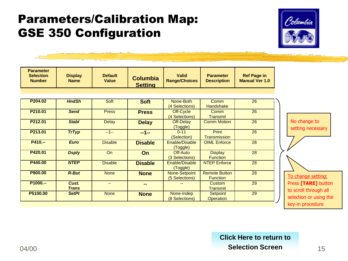# Parameters/Calibration Map: GSE 350 Configuration



| <b>Parameter</b><br><b>Selection</b><br><b>Number</b> | <b>Display</b><br><b>Name</b> | <b>Default</b><br><b>Value</b> | <b>Columbia</b><br><b>Setting</b> | <b>Valid</b><br><b>Range/Choices</b> | <b>Parameter</b><br><b>Description</b>  | <b>Ref Page in</b><br><b>Manual Ver 1.0</b> |
|-------------------------------------------------------|-------------------------------|--------------------------------|-----------------------------------|--------------------------------------|-----------------------------------------|---------------------------------------------|
|                                                       |                               |                                |                                   |                                      |                                         |                                             |
| P204.02                                               | <b>HndSh</b>                  | Soft                           | <b>Soft</b>                       | None-Both<br>(4 Selections)          | Comm<br>Handshake                       | 26                                          |
| P210.01                                               | <b>Send</b>                   | <b>Press</b>                   | <b>Press</b>                      | Off-Cycle<br>(4 Selections)          | Comm<br><b>Transmit</b>                 | 26                                          |
| P212.01                                               | <b>Stabl</b>                  | <b>Delay</b>                   | <b>Delay</b>                      | Off-Delay<br>(Toggle)                | <b>Comm Motion</b>                      | 26                                          |
| P213.01                                               | <b>TrTyp</b>                  | $-1-$                          | $-1-$                             | $0 - 11$<br>(Selection)              | <b>Print</b><br>Transmission            | 26                                          |
| P410.--                                               | <b>Euro</b>                   | <b>Disable</b>                 | <b>Disable</b>                    | Enable/Disable<br>(Toggle)           | <b>OIML</b> Enforce                     | 28                                          |
| P420.01                                               | <b>Dsply</b>                  | On                             | On                                | Off-Auto<br>(3 Selections)           | <b>Display</b><br><b>Function</b>       | 28                                          |
| P440.00                                               | <b>NTEP</b>                   | <b>Disable</b>                 | <b>Disable</b>                    | Enable/Disable<br>(Toggle)           | <b>NTEP Enforce</b>                     | 28                                          |
| P800.00                                               | <b>R-But</b>                  | <b>None</b>                    | <b>None</b>                       | None-Setpoint<br>(5 Selections)      | <b>Remote Button</b><br><b>Function</b> | 28                                          |
| P1000 .--                                             | Cust.<br><b>Trans</b>         | $-$                            | --                                |                                      | <b>Custom</b><br><b>Transmit</b>        | 29                                          |
| P5100.00                                              | <b>SetPt</b>                  | <b>None</b>                    | <b>None</b>                       | None-Indep<br>(8 Selections)         | <b>Setpoint</b><br><b>Operation</b>     | 29                                          |



#### $04/00$   $\blacksquare$  15 **[Click Here to return to](#page-1-0) Selection Screen**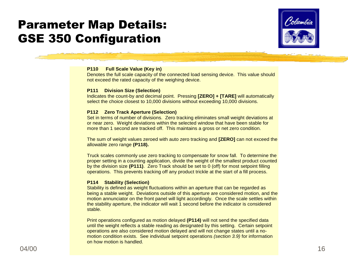

#### **P110 Full Scale Value (Key in)**

Denotes the full scale capacity of the connected load sensing device. This value should not exceed the rated capacity of the weighing device.

#### **P111 Division Size (Selection)**

Indicates the count-by and decimal point. Pressing **[ZERO] + [TARE]** will automatically select the choice closest to 10,000 divisions without exceeding 10,000 divisions.

#### **P112 Zero Track Aperture (Selection)**

Set in terms of number of divisions. Zero tracking eliminates small weight deviations at or near zero. Weight deviations within the selected window that have been stable for more than 1 second are tracked off. This maintains a gross or net zero condition.

The sum of weight values zeroed with auto zero tracking and **[ZERO]** can not exceed the allowable zero range **(P118).**

Truck scales commonly use zero tracking to compensate for snow fall. To determine the proper setting in a counting application, divide the weight of the smallest product counted by the division size **(P111)**. Zero Track should be set to 0 (off) for most setpoint filling operations. This prevents tracking off any product trickle at the start of a fill process.

#### **P114 Stability (Selection)**

Stability is defined as weight fluctuations within an aperture that can be regarded as being a stable weight. Deviations outside of this aperture are considered motion, and the motion annunciator on the front panel will light accordingly. Once the scale settles within the stability aperture, the indicator will wait 1 second before the indicator is considered stable.

<span id="page-15-0"></span>Print operations configured as motion delayed **(P114)** will not send the specified data until the weight reflects a stable reading as designated by this setting. Certain setpoint operations are also considered motion delayed and will not change states until a nomotion condition exists. See individual setpoint operations *(section 3.9)* for information on how motion is handled.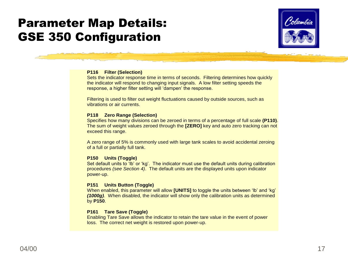

#### **P116 Filter (Selection)**

Sets the indicator response time in terms of seconds. Filtering determines how quickly the indicator will respond to changing input signals. A low filter setting speeds the response, a higher filter setting will "dampen" the response.

Filtering is used to filter out weight fluctuations caused by outside sources, such as vibrations or air currents.

#### **P118 Zero Range (Selection)**

Specifies how many divisions can be zeroed in terms of a percentage of full scale **(P110)**. The sum of weight values zeroed through the **[ZERO]** key and auto zero tracking can not exceed this range.

A zero range of 5% is commonly used with large tank scales to avoid accidental zeroing of a full or partially full tank.

#### **P150 Units (Toggle)**

Set default units to 'lb' or 'kg'. The indicator must use the default units during calibration procedures *(see Section 4)*. The default units are the displayed units upon indicator power-up.

#### **P151 Units Button (Toggle)**

When enabled, this parameter will allow **[UNITS]** to toggle the units between 'lb' and 'kg' *(1000g)*. When disabled, the indicator will show only the calibration units as determined by **P150**.

#### **P161 Tare Save (Toggle)**

Enabling Tare Save allows the indicator to retain the tare value in the event of power loss. The correct net weight is restored upon power-up.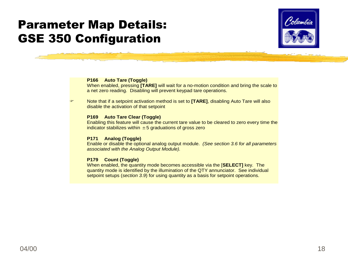

#### **P166 Auto Tare (Toggle)**

When enabled, pressing **[TARE]** will wait for a no-motion condition and bring the scale to a net zero reading. Disabling will prevent keypad tare operations.

 Note that if a setpoint activation method is set to **[TARE]**, disabling Auto Tare will also disable the activation of that setpoint

#### **P169 Auto Tare Clear (Toggle)**

Enabling this feature will cause the current tare value to be cleared to zero every time the indicator stabilizes within  $\pm 5$  graduations of gross zero

#### **P171 Analog (Toggle)**

Enable or disable the optional analog output module. *(See section 3.6 for all parameters associated with the Analog Output Module).*

#### **P179 Count (Toggle)**

When enabled, the quantity mode becomes accessible via the [**SELECT]** key. The quantity mode is identified by the illumination of the QTY annunciator. See individual setpoint setups (*section 3.9*) for using quantity as a basis for setpoint operations.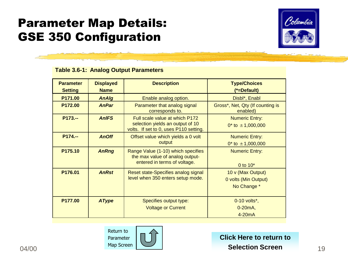

### **Table 3.6-1: Analog Output Parameters**

| <b>Parameter</b><br><b>Setting</b> | <b>Displayed</b><br><b>Name</b> | <b>Description</b>                                                                                           | <b>Type/Choices</b><br>(*=Default)                       |
|------------------------------------|---------------------------------|--------------------------------------------------------------------------------------------------------------|----------------------------------------------------------|
| P171.00                            | <b>AnAlg</b>                    | Enable analog option.                                                                                        | Disbl*, Enabl                                            |
| P <sub>172.00</sub>                | <b>AnPar</b>                    | Parameter that analog signal<br>corresponds to.                                                              | Gross*, Net, Qty (If counting is<br>enabled)             |
| $P173 -$                           | <b>AnIFS</b>                    | Full scale value at which P172<br>selection yields an output of 10<br>volts. If set to 0, uses P110 setting. | <b>Numeric Entry:</b><br>$0^*$ to $\pm$ 1,000,000        |
| $P174 -$                           | <b>AnOff</b>                    | Offset value which yields a 0 volt<br>output                                                                 | <b>Numeric Entry:</b><br>$0^*$ to $\pm$ 1,000,000        |
| P175.10                            | <b>AnRng</b>                    | Range Value (1-10) which specifies<br>the max value of analog output-<br>entered in terms of voltage.        | <b>Numeric Entry:</b><br>0 to $10*$                      |
| P <sub>176.01</sub>                | <b>AnRst</b>                    | Reset state-Specifies analog signal<br>level when 350 enters setup mode.                                     | 10 v (Max Output)<br>0 volts (Min Output)<br>No Change * |
| P177.00                            | <b>AType</b>                    | Specifies output type:<br><b>Voltage or Current</b>                                                          | 0-10 volts*,<br>$0-20mA,$<br>$4-20mA$                    |



**[Click Here to return to](#page-1-0) Selection Screen**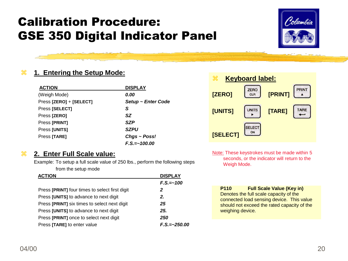# Calibration Procedure: GSE 350 Digital Indicator Panel



### **1. Entering the Setup Mode:**

| <b>ACTION</b>           | <b>DISPLAY</b>     |
|-------------------------|--------------------|
| (Weigh Mode)            | 0.00               |
| Press [ZERO] + [SELECT] | Setup ~ Enter Code |
| Press [SELECT]          | S                  |
| Press [ZERO]            | <b>SZ</b>          |
| Press [PRINT]           | <b>SZP</b>         |
| Press [UNITS]           | <i><b>SZPU</b></i> |
| Press [TARE]            | Chgs ~ Poss!       |
|                         | $F.S = ~100.00$    |

### **2. Enter Full Scale value:**

Example: To setup a full scale value of 250 lbs., perform the following steps from the setup mode

<span id="page-19-0"></span>

| <b>ACTION</b>                                  | <b>DISPLAY</b>   |
|------------------------------------------------|------------------|
|                                                | $F.S. = -100$    |
| Press [PRINT] four times to select first digit | 2                |
| Press [UNITS] to advance to next digit         | 2.               |
| Press [PRINT] six times to select next digit   | 25               |
| Press [UNITS] to advance to next digit         | 25.              |
| Press [PRINT] once to select next digit        | 250              |
| Press [TARE] to enter value                    | $F.S. = -250.00$ |



Note: These keystrokes must be made within 5 seconds, or the indicator will return to the Weigh Mode.

**P110 Full Scale Value (Key in)** Denotes the full scale capacity of the connected load sensing device. This value should not exceed the rated capacity of the weighing device.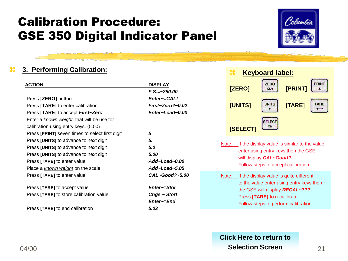# Calibration Procedure: GSE 350 Digital Indicator Panel



### **3. Performing Calibration:**

| <b>ACTION</b>                                   | <b>DISPLAY</b>       |
|-------------------------------------------------|----------------------|
|                                                 | $F.S. = -250.00$     |
| Press [ZERO] button                             | Enter~=CAL!          |
| Press [TARE] to enter calibration               | $First-Zero? - 0.02$ |
| Press [TARE] to accept <i>First~Zero</i>        | Enter~Load~0.00      |
| Enter a known weight that will be use for       |                      |
| calibration using entry keys. (5.00)            |                      |
| Press [PRINT] seven times to select first digit | 5                    |
| Press [UNITS] to advance to next digit          | 5.                   |
| Press [UNITS] to advance to next digit          | 5.0                  |
| Press [UNITS] to advance to next digit          | 5.00                 |
| Press [TARE] to enter value                     | $Add$ -Load-0.00     |
| Place a known weight on the scale               | Add~Load~5.05        |
| Press [TARE] to enter value                     | $CAL$ ~Good?~5.00    |
| Press [TARE] to accept value                    | Enter~=Stor          |
| Press [TARE] to store calibration value         | $Chgs \sim Stor!$    |
|                                                 | Enter~=End           |
| Press [TARE] to end calibration                 | 5.03                 |



- Note: If the display value is similar to the value enter using entry keys then the GSE will display *CAL~Good?* Follow steps to accept calibration.
- Note: If the display value is quite different to the value enter using entry keys then the GSE will display *RECAL~???* Press **[TARE]** to recalibrate. Follow steps to perform calibration.

#### $04/00$  Selection Screen  $21$ **[Click Here to return to](#page-1-0) Selection Screen**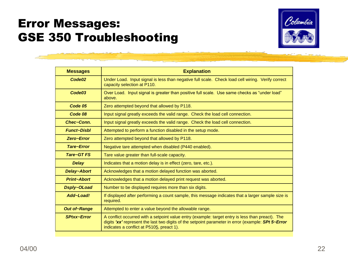

<span id="page-21-0"></span>

| <b>Messages</b>     | <b>Explanation</b>                                                                                                                                                                                                                                  |
|---------------------|-----------------------------------------------------------------------------------------------------------------------------------------------------------------------------------------------------------------------------------------------------|
| Code02              | Under Load. Input signal is less than negative full scale. Check load cell wiring. Verify correct<br>capacity selection at P110.                                                                                                                    |
| Code03              | Over Load. Input signal is greater than positive full scale. Use same checks as "under load"<br>above.                                                                                                                                              |
| Code 05             | Zero attempted beyond that allowed by P118.                                                                                                                                                                                                         |
| Code 08             | Input signal greatly exceeds the valid range. Check the load cell connection.                                                                                                                                                                       |
| Chec~Conn.          | Input signal greatly exceeds the valid range. Check the load cell connection.                                                                                                                                                                       |
| <b>Funct-Disbl</b>  | Attempted to perform a function disabled in the setup mode.                                                                                                                                                                                         |
| Zero~Error          | Zero attempted beyond that allowed by P118.                                                                                                                                                                                                         |
| Tare~Error          | Negative tare attempted when disabled (P440 enabled).                                                                                                                                                                                               |
| Tare~GT FS          | Tare value greater than full-scale capacity.                                                                                                                                                                                                        |
| <b>Delay</b>        | Indicates that a motion delay is in effect (zero, tare, etc.).                                                                                                                                                                                      |
| <b>Delay~Abort</b>  | Acknowledges that a motion delayed function was aborted.                                                                                                                                                                                            |
| <b>Print~Abort</b>  | Acknowledges that a motion delayed print request was aborted.                                                                                                                                                                                       |
| Dsply~OLoad         | Number to be displayed requires more than six digits.                                                                                                                                                                                               |
| Add~Load!           | If displayed after performing a count sample, this message indicates that a larger sample size is<br>required.                                                                                                                                      |
| <b>Out of~Range</b> | Attempted to enter a value beyond the allowable range.                                                                                                                                                                                              |
| <b>SPtxx~Error</b>  | A conflict occurred with a setpoint value entry (example: target entry is less than preact). The<br>digits 'xx' represent the last two digits of the setpoint parameter in error (example: SPt 5~Error<br>indicates a conflict at P5105, preact 1). |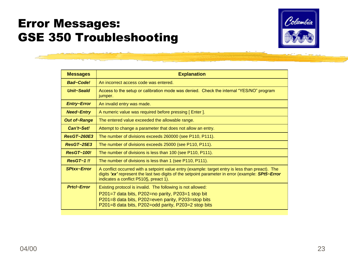

| <b>Messages</b>     | <b>Explanation</b>                                                                                                                                                                                                                              |
|---------------------|-------------------------------------------------------------------------------------------------------------------------------------------------------------------------------------------------------------------------------------------------|
| <b>Bad~Code!</b>    | An incorrect access code was entered.                                                                                                                                                                                                           |
| Unit~Seald          | Access to the setup or calibration mode was denied. Check the internal "YES/NO" program<br>jumper.                                                                                                                                              |
| <b>Entry~Error</b>  | An invalid entry was made.                                                                                                                                                                                                                      |
| <b>Need~Entry</b>   | A numeric value was required before pressing [Enter].                                                                                                                                                                                           |
| <b>Out of~Range</b> | The entered value exceeded the allowable range.                                                                                                                                                                                                 |
| Can't~Set!          | Attempt to change a parameter that does not allow an entry.                                                                                                                                                                                     |
| <b>ResGT~260E3</b>  | The number of divisions exceeds 260000 (see P110, P111).                                                                                                                                                                                        |
| ResGT~25E3          | The number of divisions exceeds 25000 (see P110, P111).                                                                                                                                                                                         |
| <b>ResGT~100!</b>   | The number of divisions is less than 100 (see P110, P111).                                                                                                                                                                                      |
| $ResGT - 1$ !!      | The number of divisions is less than 1 (see P110, P111).                                                                                                                                                                                        |
| <b>SPtxx~Error</b>  | A conflict occurred with a setpoint value entry (example: target entry is less than preact). The<br>digits 'xx' represent the last two digits of the setpoint parameter in error (example: SPt5~Error<br>indicates a conflict P5105, preact 1). |
| <b>Prtcl~Error</b>  | Existing protocol is invalid. The following is not allowed:<br>P201=7 data bits, P202=no parity, P203=1 stop bit<br>P201=8 data bits, P202=even parity, P203=stop bits<br>P201=8 data bits, P202=odd parity, P203=2 stop bits                   |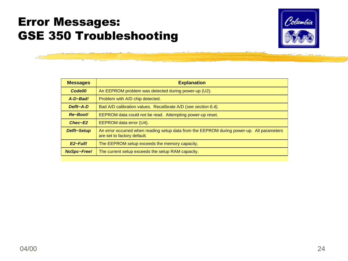

| <b>Explanation</b>                                                                                                       |
|--------------------------------------------------------------------------------------------------------------------------|
| An EEPROM problem was detected during power-up (U2).                                                                     |
| Problem with A/D chip detected.                                                                                          |
| Bad A/D calibration values. Recalibrate A/D (see section 6.4).                                                           |
| EEPROM data could not be read. Attempting power-up reset.                                                                |
| EEPROM data error (U4).                                                                                                  |
| An error occurred when reading setup data from the EEPROM during power-up. All parameters<br>are set to factory default. |
| The EEPROM setup exceeds the memory capacity.                                                                            |
| The current setup exceeds the setup RAM capacity.                                                                        |
|                                                                                                                          |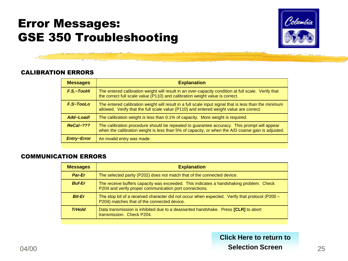

### CALIBRATION ERRORS

| <b>Explanation</b>                                                                                                                                                                               |
|--------------------------------------------------------------------------------------------------------------------------------------------------------------------------------------------------|
| The entered calibration weight will result in an over-capacity condition at full scale. Verify that<br>the correct full scale value (P110) and calibration weight value is correct.              |
| The entered calibration weight will result in a full scale input signal that is less than the minimum<br>allowed. Verify that the full scale value (P110) and entered weight value are correct.  |
| The calibration weight is less than 0.1% of capacity. More weight is required.                                                                                                                   |
| The calibration procedure should be repeated to guarantee accuracy. This prompt will appear<br>when the calibration weight is less than 5% of capacity, or when the A/D coarse gain is adjusted. |
| An invalid entry was made.                                                                                                                                                                       |
|                                                                                                                                                                                                  |

### COMMUNICATION ERRORS

| <b>Messages</b> | <b>Explanation</b>                                                                                                                               |
|-----------------|--------------------------------------------------------------------------------------------------------------------------------------------------|
| Par-Er          | The selected parity (P202) does not match that of the connected device.                                                                          |
| <b>Buf-Er</b>   | The receive buffers capacity was exceeded. This indicates a handshaking problem. Check<br>P204 and verify proper communication port connections. |
| <b>Bit-Er</b>   | The stop bit of a received character did not occur when expected. Verify that protocol (P200 –<br>P204) matches that of the connected device.    |
| <b>TrHold</b>   | Data transmission is inhibited due to a deasserted handshake. Press <b>[CLR]</b> to abort<br>transmission. Check P204.                           |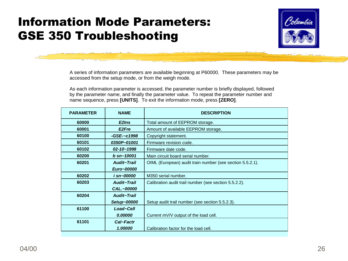# Information Mode Parameters: GSE 350 Troubleshooting



A series of information parameters are available beginning at P60000. These parameters may be accessed from the setup mode, or from the weigh mode.

As each information parameter is accessed, the parameter number is briefly displayed, followed by the parameter name, and finally the parameter value. To repeat the parameter number and name sequence, press **[UNITS]**. To exit the information mode, press **[ZERO]**.

<span id="page-25-0"></span>

| <b>PARAMETER</b> | <b>NAME</b>        | <b>DESCRIPTION</b>                                        |
|------------------|--------------------|-----------------------------------------------------------|
| 60000            | E2Ins              | Total amount of EEPROM storage.                           |
| 60001            | E <sub>2</sub> Fre | Amount of available EEPROM storage.                       |
| 60100            | -GSE-~c1998        | Copyright statement.                                      |
| 60101            | 0350P~01001        | Firmware revision code.                                   |
| 60102            | $02 - 10 - 1998$   | Firmware date code.                                       |
| 60200            | $b \,$ sn~10001    | Main circuit board serial number.                         |
| 60201            | <b>Audit-Trail</b> | OIML (European) audit train number (see section 5.5.2.1). |
|                  | Euro~00000         |                                                           |
| 60202            | i sn~00000         | M350 serial number.                                       |
| 60203            | Audit~Trail        | Calibration audit trail number (see section 5.5.2.2).     |
|                  | CAL.~00000         |                                                           |
| 60204            | <b>Audit-Trail</b> |                                                           |
|                  | Setup~00000        | Setup audit trail number (see section 5.5.2.3).           |
| 61100            | Load~Cell          |                                                           |
|                  | 0.00000            | Current mV/V output of the load cell.                     |
| 61101            | Cal~Factr          |                                                           |
|                  | 1.00000            | Calibration factor for the load cell.                     |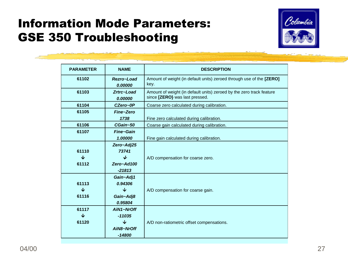# Information Mode Parameters: GSE 350 Troubleshooting



| <b>PARAMETER</b> | <b>NAME</b>             | <b>DESCRIPTION</b>                                                                                     |
|------------------|-------------------------|--------------------------------------------------------------------------------------------------------|
| 61102            | Rezro~Load<br>0.00000   | Amount of weight (in default units) zeroed through use of the [ZERO]<br>key.                           |
| 61103            | Zrtrc~Load<br>0.00000   | Amount of weight (in default units) zeroed by the zero track feature<br>since [ZERO] was last pressed. |
| 61104            | CZero~0P                | Coarse zero calculated during calibration.                                                             |
| 61105            | Fine~Zero               |                                                                                                        |
|                  | 1738                    | Fine zero calculated during calibration.                                                               |
| 61106            | CGain~50                | Coarse gain calculated during calibration.                                                             |
| 61107            | Fine~Gain               |                                                                                                        |
|                  | 1.00000                 | Fine gain calculated during calibration.                                                               |
|                  | Zero~Adj25              |                                                                                                        |
| 61110            | 73741                   |                                                                                                        |
| ↓                | ↓                       | A/D compensation for coarse zero.                                                                      |
| 61112            | Zero~Ad100              |                                                                                                        |
|                  | $-21813$                |                                                                                                        |
|                  | Gain~Adj1               |                                                                                                        |
| 61113            | 0.94306                 |                                                                                                        |
| ↓                | ↓                       | A/D compensation for coarse gain.                                                                      |
| 61116            | Gain~Adj8               |                                                                                                        |
|                  | 0.95804                 |                                                                                                        |
| 61117            | AiN1~NrOff              |                                                                                                        |
| ◡                | $-11035$                |                                                                                                        |
| 61120            | $\overline{\mathbf{v}}$ | A/D non-ratiometric offset compensations.                                                              |
|                  | AiN8~NrOff              |                                                                                                        |
|                  | $-14800$                |                                                                                                        |